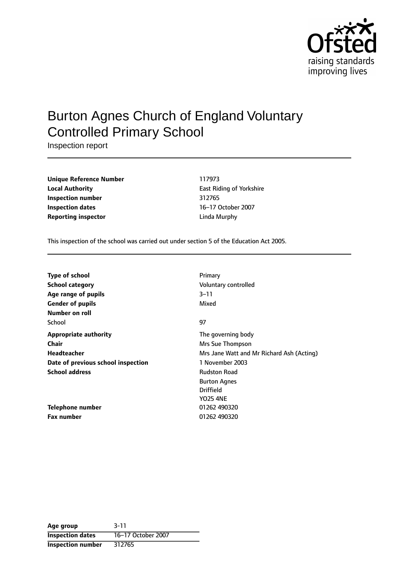

# Burton Agnes Church of England Voluntary Controlled Primary School

Inspection report

| <b>Unique Reference Number</b> | 117973         |
|--------------------------------|----------------|
| <b>Local Authority</b>         | East Riding of |
| Inspection number              | 312765         |
| <b>Inspection dates</b>        | 16-17 October  |
| <b>Reporting inspector</b>     | Linda Murphy   |

**Unique Reference Number** 117973 **East Riding of Yorkshire Inspection number** 312765 **Inspection dates** 1617 October 2007

This inspection of the school was carried out under section 5 of the Education Act 2005.

| <b>Type of school</b>              | Primary                                   |
|------------------------------------|-------------------------------------------|
| <b>School category</b>             | Voluntary controlled                      |
| Age range of pupils                | $3 - 11$                                  |
| <b>Gender of pupils</b>            | Mixed                                     |
| Number on roll                     |                                           |
| School                             | 97                                        |
| <b>Appropriate authority</b>       | The governing body                        |
| <b>Chair</b>                       | Mrs Sue Thompson                          |
| Headteacher                        | Mrs Jane Watt and Mr Richard Ash (Acting) |
| Date of previous school inspection | 1 November 2003                           |
| <b>School address</b>              | <b>Rudston Road</b>                       |
|                                    | <b>Burton Agnes</b>                       |
|                                    | <b>Driffield</b>                          |
|                                    | <b>YO25 4NE</b>                           |
| <b>Telephone number</b>            | 01262 490320                              |
| <b>Fax number</b>                  | 01262 490320                              |

| Age group                | $3 - 11$           |
|--------------------------|--------------------|
| <b>Inspection dates</b>  | 16-17 October 2007 |
| <b>Inspection number</b> | 312765             |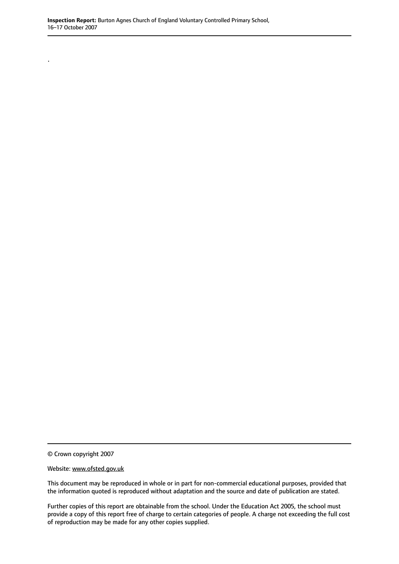© Crown copyright 2007

.

Website: www.ofsted.gov.uk

This document may be reproduced in whole or in part for non-commercial educational purposes, provided that the information quoted is reproduced without adaptation and the source and date of publication are stated.

Further copies of this report are obtainable from the school. Under the Education Act 2005, the school must provide a copy of this report free of charge to certain categories of people. A charge not exceeding the full cost of reproduction may be made for any other copies supplied.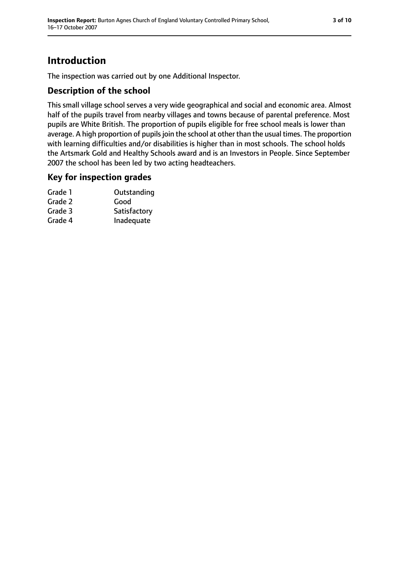## **Introduction**

The inspection was carried out by one Additional Inspector.

### **Description of the school**

This small village school serves a very wide geographical and social and economic area. Almost half of the pupils travel from nearby villages and towns because of parental preference. Most pupils are White British. The proportion of pupils eligible for free school meals is lower than average. A high proportion of pupils join the school at other than the usual times. The proportion with learning difficulties and/or disabilities is higher than in most schools. The school holds the Artsmark Gold and Healthy Schools award and is an Investors in People. Since September 2007 the school has been led by two acting headteachers.

### **Key for inspection grades**

| Outstanding  |
|--------------|
| Good         |
| Satisfactory |
| Inadequate   |
|              |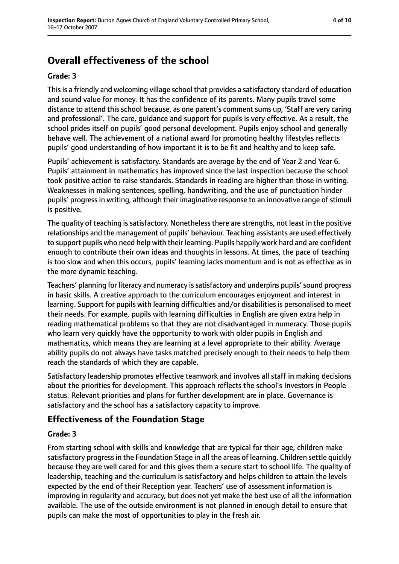## **Overall effectiveness of the school**

#### **Grade: 3**

Thisis a friendly and welcoming village school that provides a satisfactory standard of education and sound value for money. It has the confidence of its parents. Many pupils travel some distance to attend this school because, as one parent's comment sums up, 'Staff are very caring and professional'. The care, guidance and support for pupils is very effective. As a result, the school prides itself on pupils' good personal development. Pupils enjoy school and generally behave well. The achievement of a national award for promoting healthy lifestyles reflects pupils' good understanding of how important it is to be fit and healthy and to keep safe.

Pupils' achievement is satisfactory. Standards are average by the end of Year 2 and Year 6. Pupils' attainment in mathematics has improved since the last inspection because the school took positive action to raise standards. Standards in reading are higher than those in writing. Weaknesses in making sentences, spelling, handwriting, and the use of punctuation hinder pupils' progress in writing, although their imaginative response to an innovative range of stimuli is positive.

The quality of teaching is satisfactory. Nonetheless there are strengths, not least in the positive relationships and the management of pupils' behaviour. Teaching assistants are used effectively to support pupils who need help with their learning. Pupils happily work hard and are confident enough to contribute their own ideas and thoughts in lessons. At times, the pace of teaching is too slow and when this occurs, pupils' learning lacks momentum and is not as effective as in the more dynamic teaching.

Teachers' planning for literacy and numeracy is satisfactory and underpins pupils' sound progress in basic skills. A creative approach to the curriculum encourages enjoyment and interest in learning. Support for pupils with learning difficulties and/or disabilities is personalised to meet their needs. For example, pupils with learning difficulties in English are given extra help in reading mathematical problems so that they are not disadvantaged in numeracy. Those pupils who learn very quickly have the opportunity to work with older pupils in English and mathematics, which means they are learning at a level appropriate to their ability. Average ability pupils do not always have tasks matched precisely enough to their needs to help them reach the standards of which they are capable.

Satisfactory leadership promotes effective teamwork and involves all staff in making decisions about the priorities for development. This approach reflects the school's Investors in People status. Relevant priorities and plans for further development are in place. Governance is satisfactory and the school has a satisfactory capacity to improve.

### **Effectiveness of the Foundation Stage**

#### **Grade: 3**

From starting school with skills and knowledge that are typical for their age, children make satisfactory progressin the Foundation Stage in all the areas of learning. Children settle quickly because they are well cared for and this gives them a secure start to school life. The quality of leadership, teaching and the curriculum is satisfactory and helps children to attain the levels expected by the end of their Reception year. Teachers' use of assessment information is improving in regularity and accuracy, but does not yet make the best use of all the information available. The use of the outside environment is not planned in enough detail to ensure that pupils can make the most of opportunities to play in the fresh air.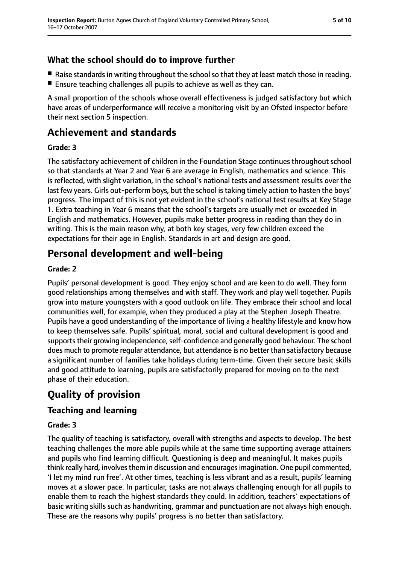## **What the school should do to improve further**

- Raise standards in writing throughout the school so that they at least match those in reading.
- Ensure teaching challenges all pupils to achieve as well as they can.

A small proportion of the schools whose overall effectiveness is judged satisfactory but which have areas of underperformance will receive a monitoring visit by an Ofsted inspector before their next section 5 inspection.

## **Achievement and standards**

## **Grade: 3**

The satisfactory achievement of children in the Foundation Stage continues throughout school so that standards at Year 2 and Year 6 are average in English, mathematics and science. This is reflected, with slight variation, in the school's national tests and assessment results over the last few years. Girls out-perform boys, but the school is taking timely action to hasten the boys' progress. The impact of this is not yet evident in the school's national test results at Key Stage 1. Extra teaching in Year 6 means that the school's targets are usually met or exceeded in English and mathematics. However, pupils make better progress in reading than they do in writing. This is the main reason why, at both key stages, very few children exceed the expectations for their age in English. Standards in art and design are good.

## **Personal development and well-being**

### **Grade: 2**

Pupils' personal development is good. They enjoy school and are keen to do well. They form good relationships among themselves and with staff. They work and play well together. Pupils grow into mature youngsters with a good outlook on life. They embrace their school and local communities well, for example, when they produced a play at the Stephen Joseph Theatre. Pupils have a good understanding of the importance of living a healthy lifestyle and know how to keep themselves safe. Pupils' spiritual, moral, social and cultural development is good and supports their growing independence, self-confidence and generally good behaviour. The school does much to promote regular attendance, but attendance is no better than satisfactory because a significant number of families take holidays during term-time. Given their secure basic skills and good attitude to learning, pupils are satisfactorily prepared for moving on to the next phase of their education.

## **Quality of provision**

## **Teaching and learning**

### **Grade: 3**

The quality of teaching is satisfactory, overall with strengths and aspects to develop. The best teaching challenges the more able pupils while at the same time supporting average attainers and pupils who find learning difficult. Questioning is deep and meaningful. It makes pupils think really hard, involves them in discussion and encourages imagination. One pupil commented, 'I let my mind run free'. At other times, teaching is less vibrant and as a result, pupils' learning moves at a slower pace. In particular, tasks are not always challenging enough for all pupils to enable them to reach the highest standards they could. In addition, teachers' expectations of basic writing skills such as handwriting, grammar and punctuation are not always high enough. These are the reasons why pupils' progress is no better than satisfactory.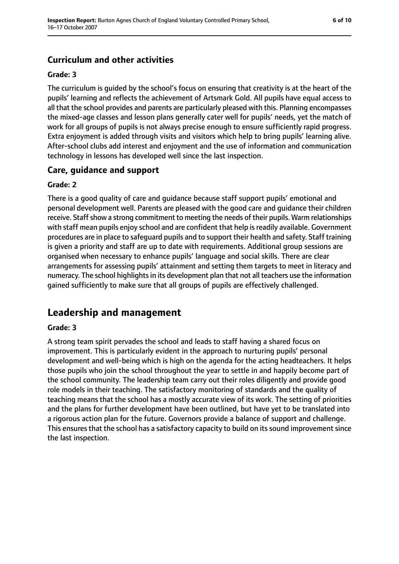## **Curriculum and other activities**

#### **Grade: 3**

The curriculum is guided by the school's focus on ensuring that creativity is at the heart of the pupils' learning and reflects the achievement of Artsmark Gold. All pupils have equal access to all that the school provides and parents are particularly pleased with this. Planning encompasses the mixed-age classes and lesson plans generally cater well for pupils' needs, yet the match of work for all groups of pupils is not always precise enough to ensure sufficiently rapid progress. Extra enjoyment is added through visits and visitors which help to bring pupils' learning alive. After-school clubs add interest and enjoyment and the use of information and communication technology in lessons has developed well since the last inspection.

#### **Care, guidance and support**

#### **Grade: 2**

There is a good quality of care and guidance because staff support pupils' emotional and personal development well. Parents are pleased with the good care and guidance their children receive. Staff show a strong commitment to meeting the needs of their pupils. Warm relationships with staff mean pupils enjoy school and are confident that help is readily available. Government procedures are in place to safeguard pupils and to support their health and safety. Staff training is given a priority and staff are up to date with requirements. Additional group sessions are organised when necessary to enhance pupils' language and social skills. There are clear arrangements for assessing pupils' attainment and setting them targets to meet in literacy and numeracy. The school highlights in its development plan that not all teachers use the information gained sufficiently to make sure that all groups of pupils are effectively challenged.

## **Leadership and management**

#### **Grade: 3**

A strong team spirit pervades the school and leads to staff having a shared focus on improvement. This is particularly evident in the approach to nurturing pupils' personal development and well-being which is high on the agenda for the acting headteachers. It helps those pupils who join the school throughout the year to settle in and happily become part of the school community. The leadership team carry out their roles diligently and provide good role models in their teaching. The satisfactory monitoring of standards and the quality of teaching means that the school has a mostly accurate view of its work. The setting of priorities and the plans for further development have been outlined, but have yet to be translated into a rigorous action plan for the future. Governors provide a balance of support and challenge. This ensures that the school has a satisfactory capacity to build on its sound improvement since the last inspection.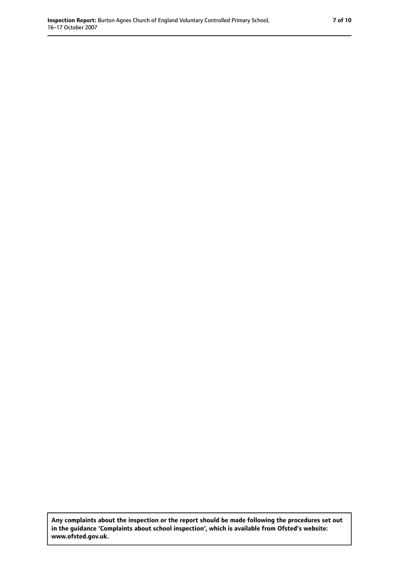**Any complaints about the inspection or the report should be made following the procedures set out in the guidance 'Complaints about school inspection', which is available from Ofsted's website: www.ofsted.gov.uk.**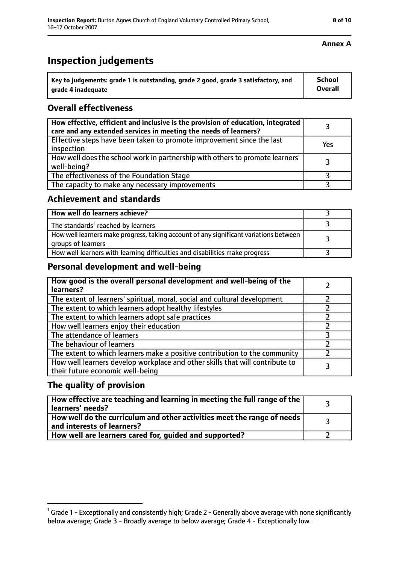## **Inspection judgements**

| $^{\cdot}$ Key to judgements: grade 1 is outstanding, grade 2 good, grade 3 satisfactory, and | School         |
|-----------------------------------------------------------------------------------------------|----------------|
| arade 4 inadequate                                                                            | <b>Overall</b> |

### **Overall effectiveness**

| How effective, efficient and inclusive is the provision of education, integrated<br>care and any extended services in meeting the needs of learners? |     |
|------------------------------------------------------------------------------------------------------------------------------------------------------|-----|
| Effective steps have been taken to promote improvement since the last<br>inspection                                                                  | Yes |
| How well does the school work in partnership with others to promote learners'<br>well-being?                                                         |     |
| The effectiveness of the Foundation Stage                                                                                                            |     |
| The capacity to make any necessary improvements                                                                                                      |     |

#### **Achievement and standards**

| How well do learners achieve?                                                                               |  |
|-------------------------------------------------------------------------------------------------------------|--|
| The standards <sup>1</sup> reached by learners                                                              |  |
| How well learners make progress, taking account of any significant variations between<br>groups of learners |  |
| How well learners with learning difficulties and disabilities make progress                                 |  |

### **Personal development and well-being**

| How good is the overall personal development and well-being of the<br>learners?                                  |  |
|------------------------------------------------------------------------------------------------------------------|--|
| The extent of learners' spiritual, moral, social and cultural development                                        |  |
| The extent to which learners adopt healthy lifestyles                                                            |  |
| The extent to which learners adopt safe practices                                                                |  |
| How well learners enjoy their education                                                                          |  |
| The attendance of learners                                                                                       |  |
| The behaviour of learners                                                                                        |  |
| The extent to which learners make a positive contribution to the community                                       |  |
| How well learners develop workplace and other skills that will contribute to<br>their future economic well-being |  |

### **The quality of provision**

| How effective are teaching and learning in meeting the full range of the<br>learners' needs?          |  |
|-------------------------------------------------------------------------------------------------------|--|
| How well do the curriculum and other activities meet the range of needs<br>and interests of learners? |  |
| How well are learners cared for, guided and supported?                                                |  |

#### **Annex A**

 $^1$  Grade 1 - Exceptionally and consistently high; Grade 2 - Generally above average with none significantly below average; Grade 3 - Broadly average to below average; Grade 4 - Exceptionally low.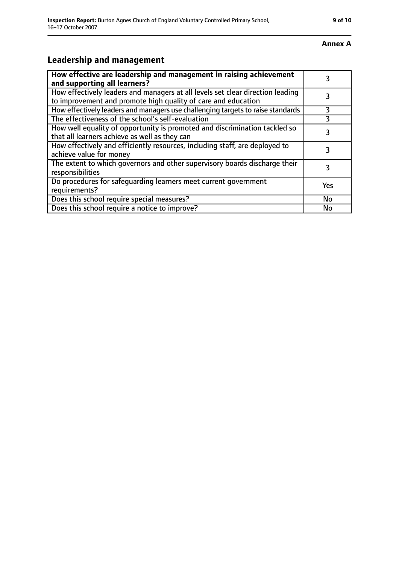## **Leadership and management**

| How effective are leadership and management in raising achievement<br>and supporting all learners?                                              |     |
|-------------------------------------------------------------------------------------------------------------------------------------------------|-----|
| How effectively leaders and managers at all levels set clear direction leading<br>to improvement and promote high quality of care and education |     |
| How effectively leaders and managers use challenging targets to raise standards                                                                 |     |
| The effectiveness of the school's self-evaluation                                                                                               | 3   |
| How well equality of opportunity is promoted and discrimination tackled so<br>that all learners achieve as well as they can                     | 3   |
| How effectively and efficiently resources, including staff, are deployed to<br>achieve value for money                                          | 3   |
| The extent to which governors and other supervisory boards discharge their<br>responsibilities                                                  | 3   |
| Do procedures for safequarding learners meet current government<br>requirements?                                                                | Yes |
| Does this school require special measures?                                                                                                      | No  |
| Does this school require a notice to improve?                                                                                                   | No  |